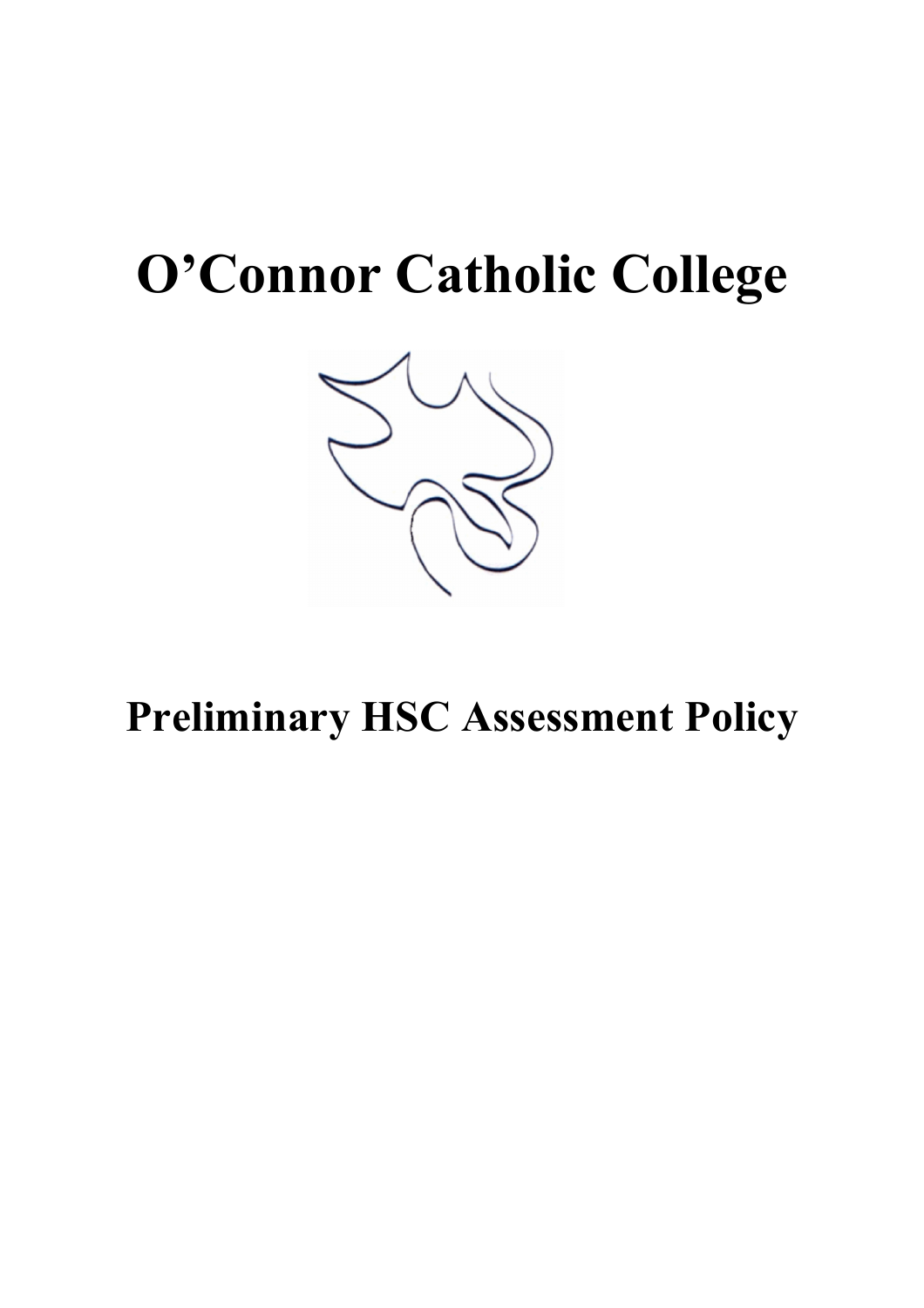# **O'Connor Catholic College**



**Preliminary HSC Assessment Policy**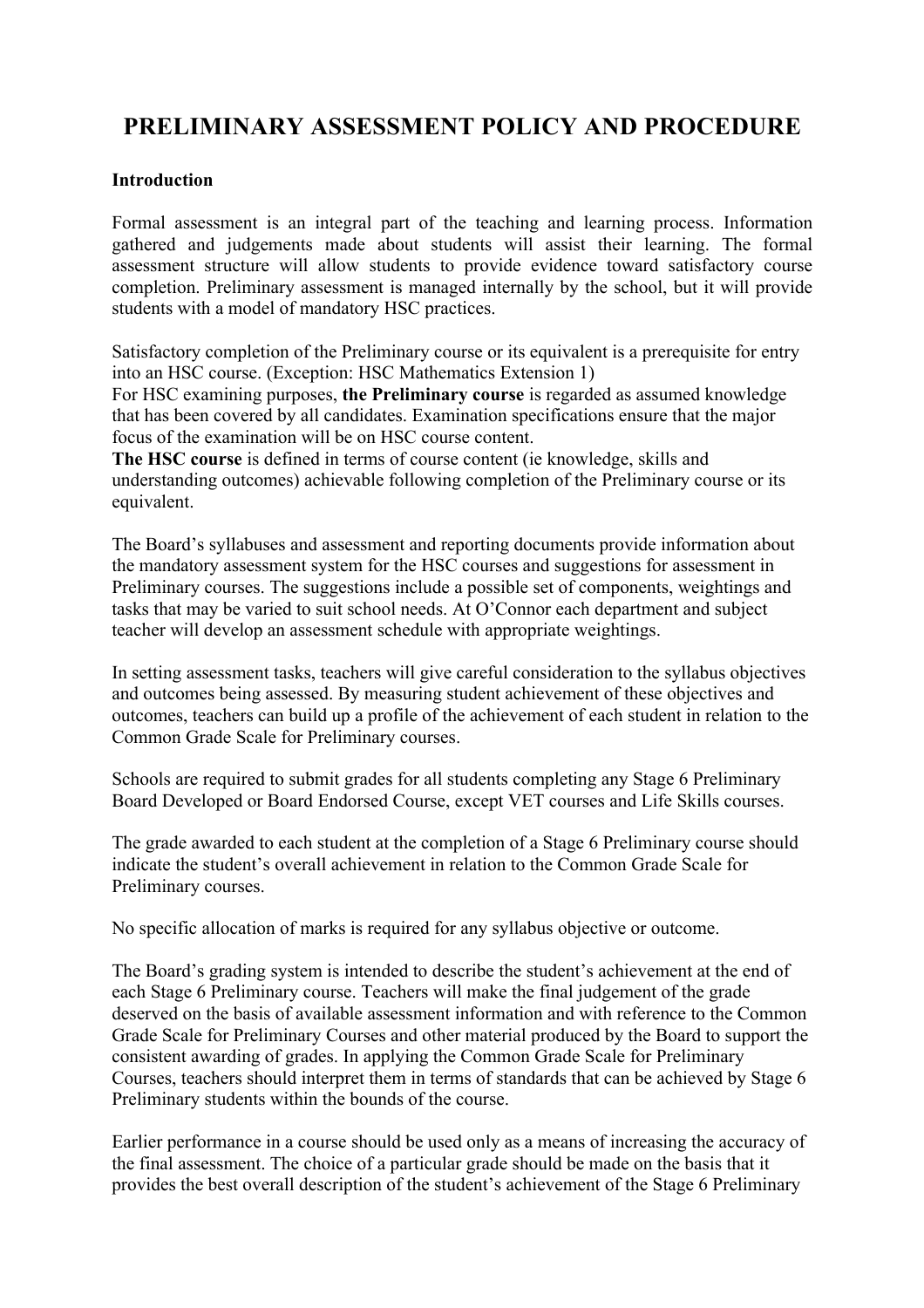# **PRELIMINARY ASSESSMENT POLICY AND PROCEDURE**

#### **Introduction**

Formal assessment is an integral part of the teaching and learning process. Information gathered and judgements made about students will assist their learning. The formal assessment structure will allow students to provide evidence toward satisfactory course completion. Preliminary assessment is managed internally by the school, but it will provide students with a model of mandatory HSC practices.

Satisfactory completion of the Preliminary course or its equivalent is a prerequisite for entry into an HSC course. (Exception: HSC Mathematics Extension 1)

For HSC examining purposes, **the Preliminary course** is regarded as assumed knowledge that has been covered by all candidates. Examination specifications ensure that the major focus of the examination will be on HSC course content.

**The HSC course** is defined in terms of course content (ie knowledge, skills and understanding outcomes) achievable following completion of the Preliminary course or its equivalent.

The Board's syllabuses and assessment and reporting documents provide information about the mandatory assessment system for the HSC courses and suggestions for assessment in Preliminary courses. The suggestions include a possible set of components, weightings and tasks that may be varied to suit school needs. At O'Connor each department and subject teacher will develop an assessment schedule with appropriate weightings.

In setting assessment tasks, teachers will give careful consideration to the syllabus objectives and outcomes being assessed. By measuring student achievement of these objectives and outcomes, teachers can build up a profile of the achievement of each student in relation to the Common Grade Scale for Preliminary courses.

Schools are required to submit grades for all students completing any Stage 6 Preliminary Board Developed or Board Endorsed Course, except VET courses and Life Skills courses.

The grade awarded to each student at the completion of a Stage 6 Preliminary course should indicate the student's overall achievement in relation to the Common Grade Scale for Preliminary courses.

No specific allocation of marks is required for any syllabus objective or outcome.

The Board's grading system is intended to describe the student's achievement at the end of each Stage 6 Preliminary course. Teachers will make the final judgement of the grade deserved on the basis of available assessment information and with reference to the Common Grade Scale for Preliminary Courses and other material produced by the Board to support the consistent awarding of grades. In applying the Common Grade Scale for Preliminary Courses, teachers should interpret them in terms of standards that can be achieved by Stage 6 Preliminary students within the bounds of the course.

Earlier performance in a course should be used only as a means of increasing the accuracy of the final assessment. The choice of a particular grade should be made on the basis that it provides the best overall description of the student's achievement of the Stage 6 Preliminary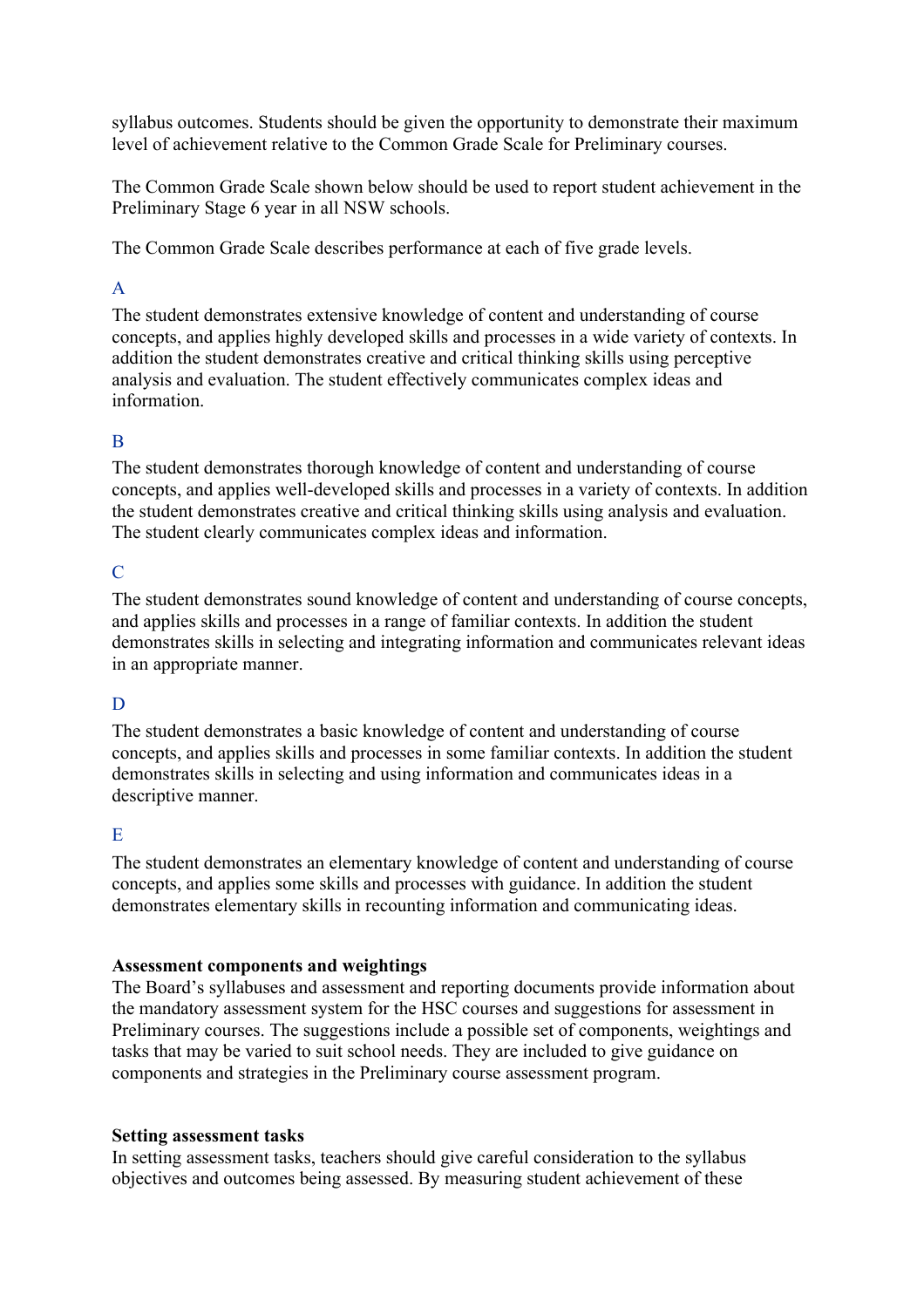syllabus outcomes. Students should be given the opportunity to demonstrate their maximum level of achievement relative to the Common Grade Scale for Preliminary courses.

The Common Grade Scale shown below should be used to report student achievement in the Preliminary Stage 6 year in all NSW schools.

The Common Grade Scale describes performance at each of five grade levels.

# A

The student demonstrates extensive knowledge of content and understanding of course concepts, and applies highly developed skills and processes in a wide variety of contexts. In addition the student demonstrates creative and critical thinking skills using perceptive analysis and evaluation. The student effectively communicates complex ideas and information.

# B

The student demonstrates thorough knowledge of content and understanding of course concepts, and applies well-developed skills and processes in a variety of contexts. In addition the student demonstrates creative and critical thinking skills using analysis and evaluation. The student clearly communicates complex ideas and information.

# $\mathcal{C}$

The student demonstrates sound knowledge of content and understanding of course concepts, and applies skills and processes in a range of familiar contexts. In addition the student demonstrates skills in selecting and integrating information and communicates relevant ideas in an appropriate manner.

# D

The student demonstrates a basic knowledge of content and understanding of course concepts, and applies skills and processes in some familiar contexts. In addition the student demonstrates skills in selecting and using information and communicates ideas in a descriptive manner.

# E

The student demonstrates an elementary knowledge of content and understanding of course concepts, and applies some skills and processes with guidance. In addition the student demonstrates elementary skills in recounting information and communicating ideas.

# **Assessment components and weightings**

The Board's syllabuses and assessment and reporting documents provide information about the mandatory assessment system for the HSC courses and suggestions for assessment in Preliminary courses. The suggestions include a possible set of components, weightings and tasks that may be varied to suit school needs. They are included to give guidance on components and strategies in the Preliminary course assessment program.

#### **Setting assessment tasks**

In setting assessment tasks, teachers should give careful consideration to the syllabus objectives and outcomes being assessed. By measuring student achievement of these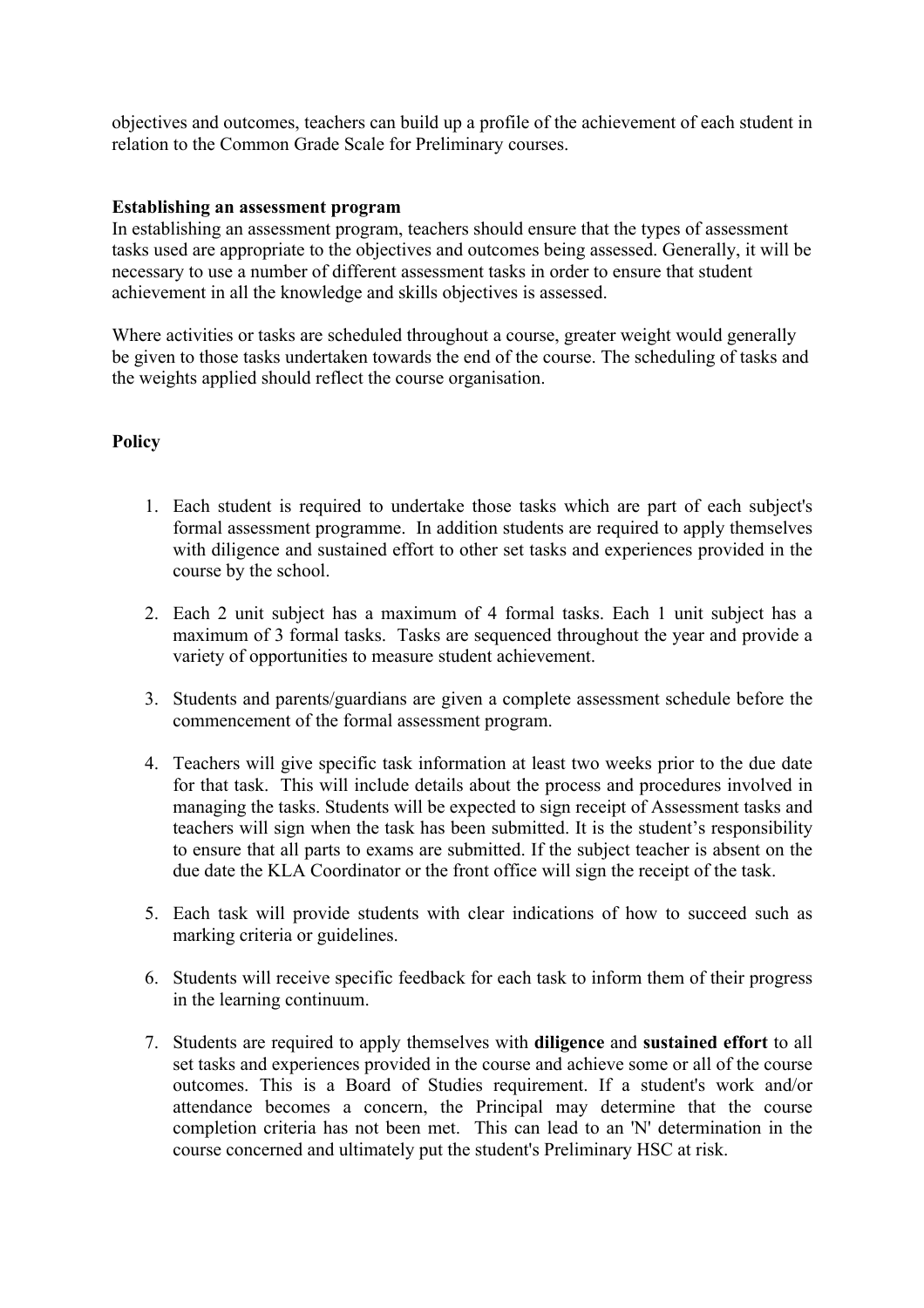objectives and outcomes, teachers can build up a profile of the achievement of each student in relation to the Common Grade Scale for Preliminary courses.

#### **Establishing an assessment program**

In establishing an assessment program, teachers should ensure that the types of assessment tasks used are appropriate to the objectives and outcomes being assessed. Generally, it will be necessary to use a number of different assessment tasks in order to ensure that student achievement in all the knowledge and skills objectives is assessed.

Where activities or tasks are scheduled throughout a course, greater weight would generally be given to those tasks undertaken towards the end of the course. The scheduling of tasks and the weights applied should reflect the course organisation.

# **Policy**

- 1. Each student is required to undertake those tasks which are part of each subject's formal assessment programme. In addition students are required to apply themselves with diligence and sustained effort to other set tasks and experiences provided in the course by the school.
- 2. Each 2 unit subject has a maximum of 4 formal tasks. Each 1 unit subject has a maximum of 3 formal tasks. Tasks are sequenced throughout the year and provide a variety of opportunities to measure student achievement.
- 3. Students and parents/guardians are given a complete assessment schedule before the commencement of the formal assessment program.
- 4. Teachers will give specific task information at least two weeks prior to the due date for that task. This will include details about the process and procedures involved in managing the tasks. Students will be expected to sign receipt of Assessment tasks and teachers will sign when the task has been submitted. It is the student's responsibility to ensure that all parts to exams are submitted. If the subject teacher is absent on the due date the KLA Coordinator or the front office will sign the receipt of the task.
- 5. Each task will provide students with clear indications of how to succeed such as marking criteria or guidelines.
- 6. Students will receive specific feedback for each task to inform them of their progress in the learning continuum.
- 7. Students are required to apply themselves with **diligence** and **sustained effort** to all set tasks and experiences provided in the course and achieve some or all of the course outcomes. This is a Board of Studies requirement. If a student's work and/or attendance becomes a concern, the Principal may determine that the course completion criteria has not been met. This can lead to an 'N' determination in the course concerned and ultimately put the student's Preliminary HSC at risk.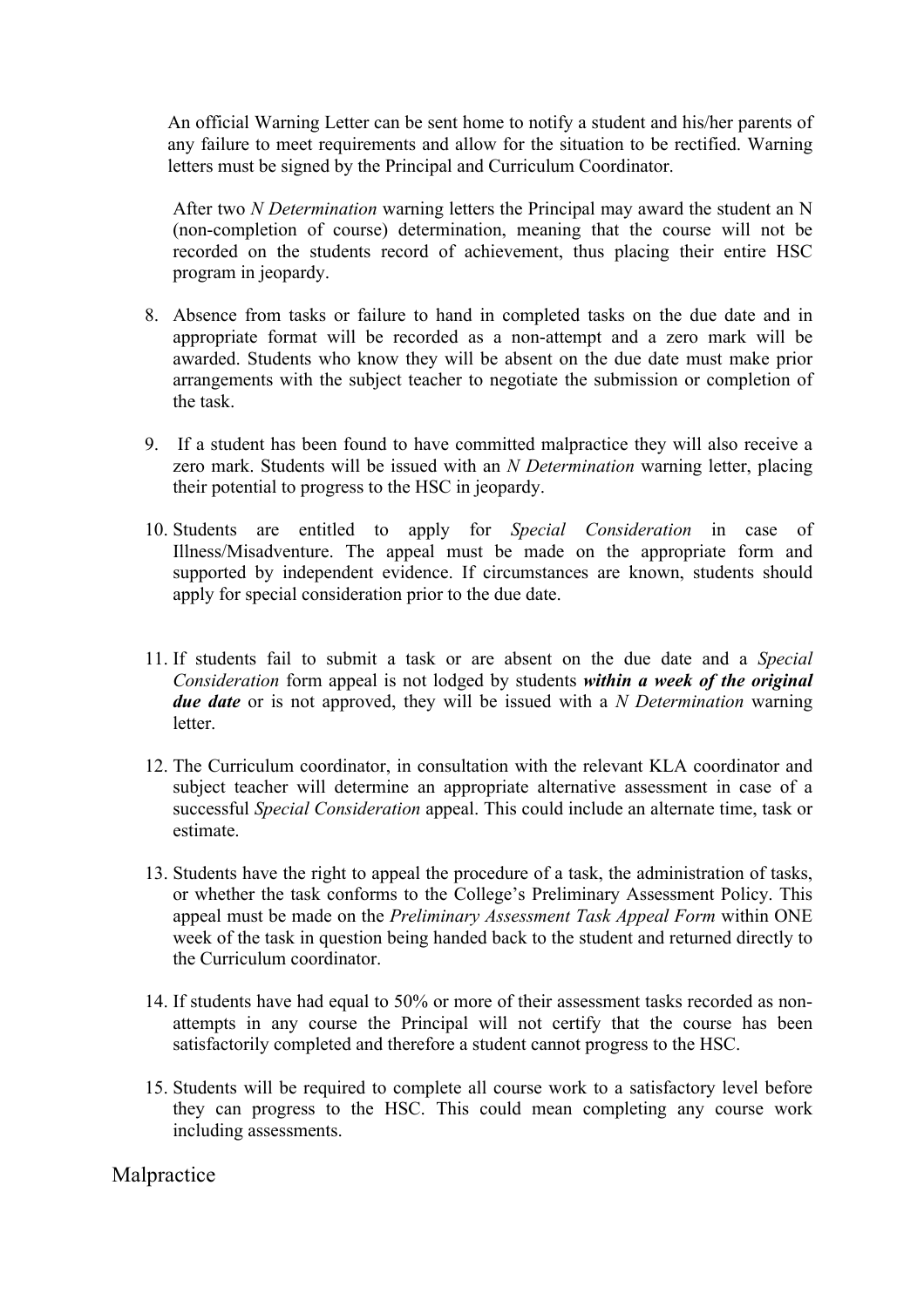An official Warning Letter can be sent home to notify a student and his/her parents of any failure to meet requirements and allow for the situation to be rectified. Warning letters must be signed by the Principal and Curriculum Coordinator.

After two *N Determination* warning letters the Principal may award the student an N (non-completion of course) determination, meaning that the course will not be recorded on the students record of achievement, thus placing their entire HSC program in jeopardy.

- 8. Absence from tasks or failure to hand in completed tasks on the due date and in appropriate format will be recorded as a non-attempt and a zero mark will be awarded. Students who know they will be absent on the due date must make prior arrangements with the subject teacher to negotiate the submission or completion of the task.
- 9. If a student has been found to have committed malpractice they will also receive a zero mark. Students will be issued with an *N Determination* warning letter, placing their potential to progress to the HSC in jeopardy.
- 10. Students are entitled to apply for *Special Consideration* in case of Illness/Misadventure. The appeal must be made on the appropriate form and supported by independent evidence. If circumstances are known, students should apply for special consideration prior to the due date.
- 11. If students fail to submit a task or are absent on the due date and a *Special Consideration* form appeal is not lodged by students *within a week of the original due date* or is not approved, they will be issued with a *N Determination* warning letter.
- 12. The Curriculum coordinator, in consultation with the relevant KLA coordinator and subject teacher will determine an appropriate alternative assessment in case of a successful *Special Consideration* appeal. This could include an alternate time, task or estimate.
- 13. Students have the right to appeal the procedure of a task, the administration of tasks, or whether the task conforms to the College's Preliminary Assessment Policy. This appeal must be made on the *Preliminary Assessment Task Appeal Form* within ONE week of the task in question being handed back to the student and returned directly to the Curriculum coordinator.
- 14. If students have had equal to 50% or more of their assessment tasks recorded as nonattempts in any course the Principal will not certify that the course has been satisfactorily completed and therefore a student cannot progress to the HSC.
- 15. Students will be required to complete all course work to a satisfactory level before they can progress to the HSC. This could mean completing any course work including assessments.

Malpractice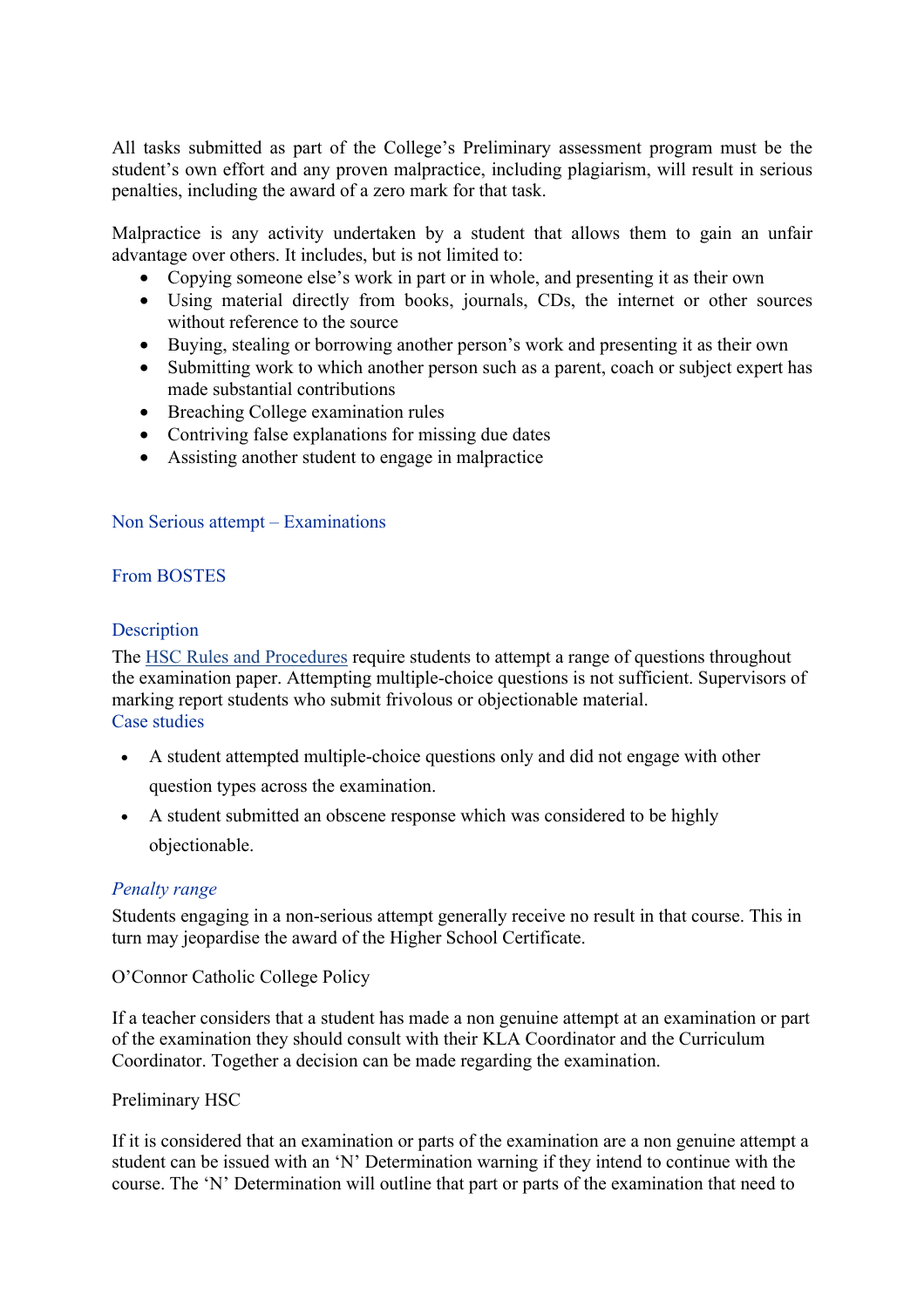All tasks submitted as part of the College's Preliminary assessment program must be the student's own effort and any proven malpractice, including plagiarism, will result in serious penalties, including the award of a zero mark for that task.

Malpractice is any activity undertaken by a student that allows them to gain an unfair advantage over others. It includes, but is not limited to:

- Copying someone else's work in part or in whole, and presenting it as their own
- Using material directly from books, journals, CDs, the internet or other sources without reference to the source
- Buying, stealing or borrowing another person's work and presenting it as their own
- Submitting work to which another person such as a parent, coach or subject expert has made substantial contributions
- Breaching College examination rules
- Contriving false explanations for missing due dates
- Assisting another student to engage in malpractice

#### Non Serious attempt – Examinations

# From BOSTES

#### **Description**

The HSC Rules and Procedures require students to attempt a range of questions throughout the examination paper. Attempting multiple-choice questions is not sufficient. Supervisors of marking report students who submit frivolous or objectionable material. Case studies

- A student attempted multiple-choice questions only and did not engage with other question types across the examination.
- A student submitted an obscene response which was considered to be highly objectionable.

# *Penalty range*

Students engaging in a non-serious attempt generally receive no result in that course. This in turn may jeopardise the award of the Higher School Certificate.

O'Connor Catholic College Policy

If a teacher considers that a student has made a non genuine attempt at an examination or part of the examination they should consult with their KLA Coordinator and the Curriculum Coordinator. Together a decision can be made regarding the examination.

Preliminary HSC

If it is considered that an examination or parts of the examination are a non genuine attempt a student can be issued with an 'N' Determination warning if they intend to continue with the course. The 'N' Determination will outline that part or parts of the examination that need to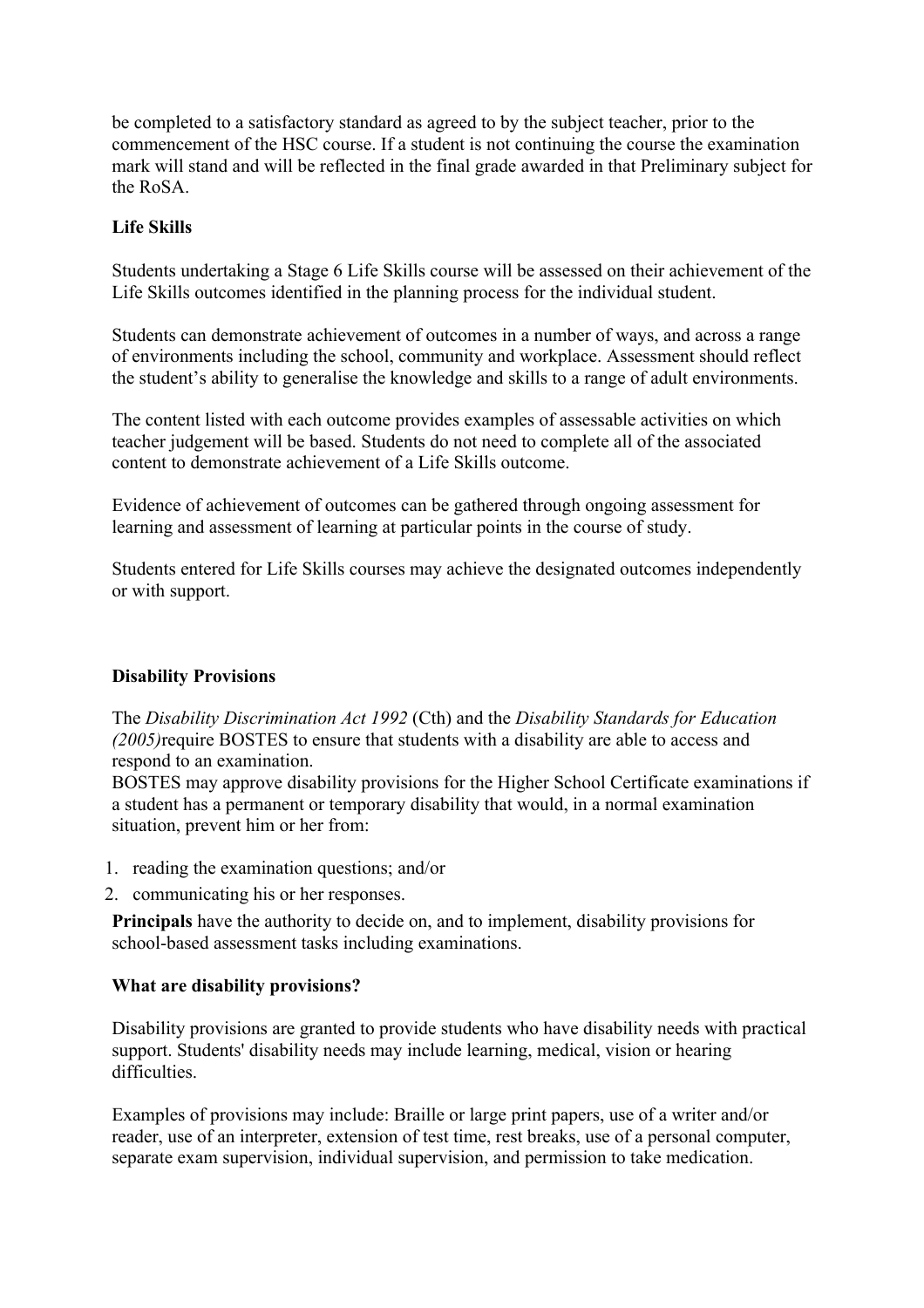be completed to a satisfactory standard as agreed to by the subject teacher, prior to the commencement of the HSC course. If a student is not continuing the course the examination mark will stand and will be reflected in the final grade awarded in that Preliminary subject for the RoSA.

# **Life Skills**

Students undertaking a Stage 6 Life Skills course will be assessed on their achievement of the Life Skills outcomes identified in the planning process for the individual student.

Students can demonstrate achievement of outcomes in a number of ways, and across a range of environments including the school, community and workplace. Assessment should reflect the student's ability to generalise the knowledge and skills to a range of adult environments.

The content listed with each outcome provides examples of assessable activities on which teacher judgement will be based. Students do not need to complete all of the associated content to demonstrate achievement of a Life Skills outcome.

Evidence of achievement of outcomes can be gathered through ongoing assessment for learning and assessment of learning at particular points in the course of study.

Students entered for Life Skills courses may achieve the designated outcomes independently or with support.

# **Disability Provisions**

The *Disability Discrimination Act 1992* (Cth) and the *Disability Standards for Education (2005)*require BOSTES to ensure that students with a disability are able to access and respond to an examination.

BOSTES may approve disability provisions for the Higher School Certificate examinations if a student has a permanent or temporary disability that would, in a normal examination situation, prevent him or her from:

- 1. reading the examination questions; and/or
- 2. communicating his or her responses.

**Principals** have the authority to decide on, and to implement, disability provisions for school-based assessment tasks including examinations.

# **What are disability provisions?**

Disability provisions are granted to provide students who have disability needs with practical support. Students' disability needs may include learning, medical, vision or hearing difficulties.

Examples of provisions may include: Braille or large print papers, use of a writer and/or reader, use of an interpreter, extension of test time, rest breaks, use of a personal computer, separate exam supervision, individual supervision, and permission to take medication.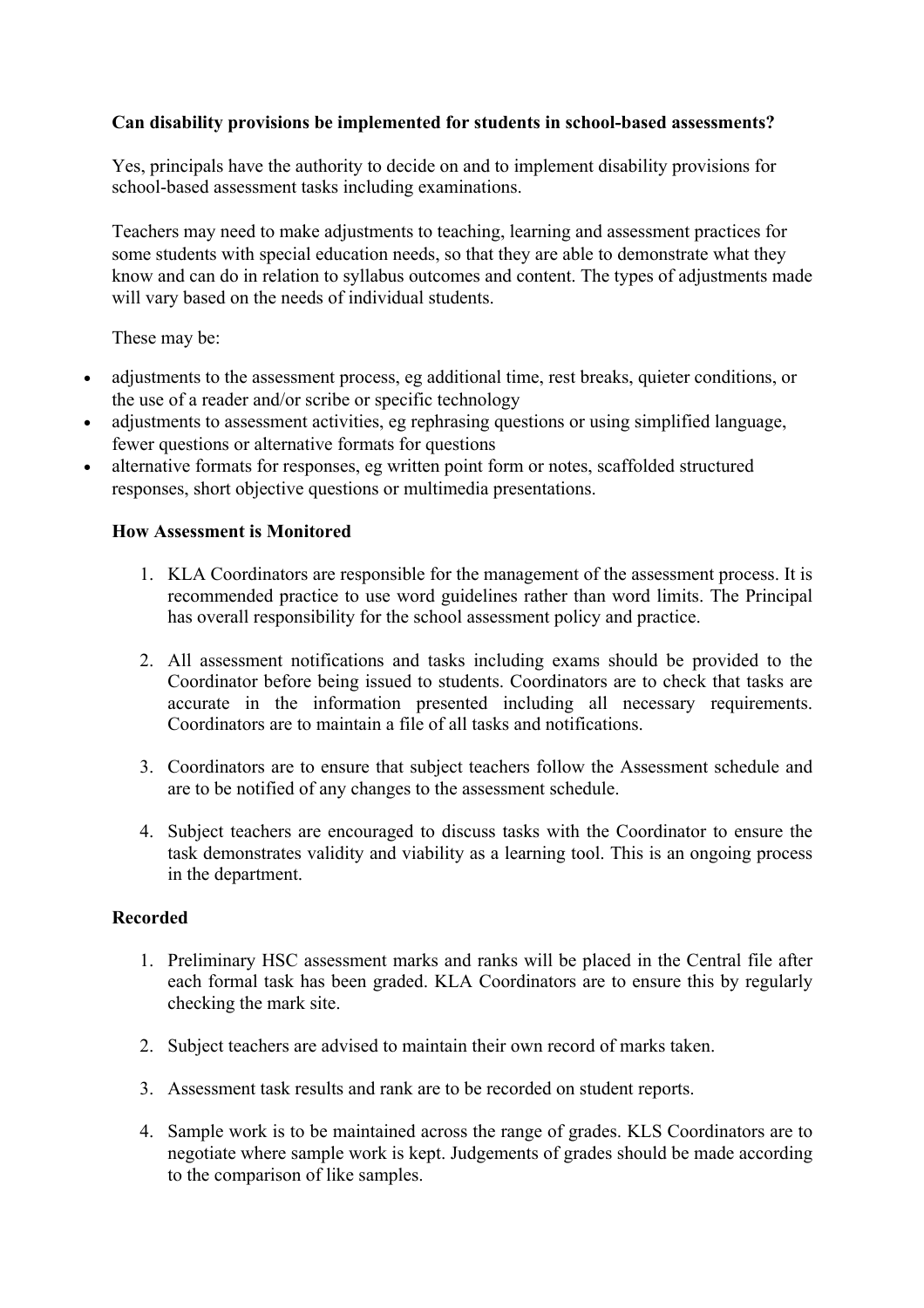# **Can disability provisions be implemented for students in school-based assessments?**

Yes, principals have the authority to decide on and to implement disability provisions for school-based assessment tasks including examinations.

Teachers may need to make adjustments to teaching, learning and assessment practices for some students with special education needs, so that they are able to demonstrate what they know and can do in relation to syllabus outcomes and content. The types of adjustments made will vary based on the needs of individual students.

These may be:

- adjustments to the assessment process, eg additional time, rest breaks, quieter conditions, or the use of a reader and/or scribe or specific technology
- adjustments to assessment activities, eg rephrasing questions or using simplified language. fewer questions or alternative formats for questions
- alternative formats for responses, eg written point form or notes, scaffolded structured responses, short objective questions or multimedia presentations.

#### **How Assessment is Monitored**

- 1. KLA Coordinators are responsible for the management of the assessment process. It is recommended practice to use word guidelines rather than word limits. The Principal has overall responsibility for the school assessment policy and practice.
- 2. All assessment notifications and tasks including exams should be provided to the Coordinator before being issued to students. Coordinators are to check that tasks are accurate in the information presented including all necessary requirements. Coordinators are to maintain a file of all tasks and notifications.
- 3. Coordinators are to ensure that subject teachers follow the Assessment schedule and are to be notified of any changes to the assessment schedule.
- 4. Subject teachers are encouraged to discuss tasks with the Coordinator to ensure the task demonstrates validity and viability as a learning tool. This is an ongoing process in the department.

#### **Recorded**

- 1. Preliminary HSC assessment marks and ranks will be placed in the Central file after each formal task has been graded. KLA Coordinators are to ensure this by regularly checking the mark site.
- 2. Subject teachers are advised to maintain their own record of marks taken.
- 3. Assessment task results and rank are to be recorded on student reports.
- 4. Sample work is to be maintained across the range of grades. KLS Coordinators are to negotiate where sample work is kept. Judgements of grades should be made according to the comparison of like samples.